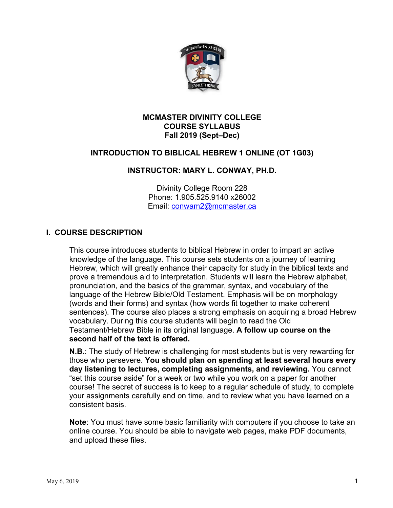

#### **MCMASTER DIVINITY COLLEGE COURSE SYLLABUS Fall 2019 (Sept–Dec)**

# **INTRODUCTION TO BIBLICAL HEBREW 1 ONLINE (OT 1G03)**

### **INSTRUCTOR: MARY L. CONWAY, PH.D.**

Divinity College Room 228 Phone: 1.905.525.9140 x26002 Email: conwam2@mcmaster.ca

### **I. COURSE DESCRIPTION**

This course introduces students to biblical Hebrew in order to impart an active knowledge of the language. This course sets students on a journey of learning Hebrew, which will greatly enhance their capacity for study in the biblical texts and prove a tremendous aid to interpretation. Students will learn the Hebrew alphabet, pronunciation, and the basics of the grammar, syntax, and vocabulary of the language of the Hebrew Bible/Old Testament. Emphasis will be on morphology (words and their forms) and syntax (how words fit together to make coherent sentences). The course also places a strong emphasis on acquiring a broad Hebrew vocabulary. During this course students will begin to read the Old Testament/Hebrew Bible in its original language. **A follow up course on the second half of the text is offered.**

**N.B.**: The study of Hebrew is challenging for most students but is very rewarding for those who persevere. **You should plan on spending at least several hours every day listening to lectures, completing assignments, and reviewing.** You cannot "set this course aside" for a week or two while you work on a paper for another course! The secret of success is to keep to a regular schedule of study, to complete your assignments carefully and on time, and to review what you have learned on a consistent basis.

**Note**: You must have some basic familiarity with computers if you choose to take an online course. You should be able to navigate web pages, make PDF documents, and upload these files.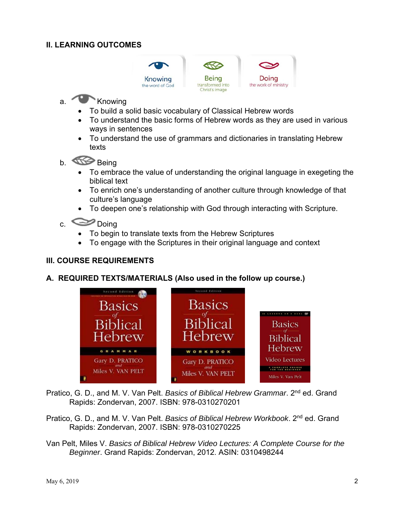# **II. LEARNING OUTCOMES**



# a. Knowing

- To build a solid basic vocabulary of Classical Hebrew words
- To understand the basic forms of Hebrew words as they are used in various ways in sentences
- To understand the use of grammars and dictionaries in translating Hebrew texts
- b. Comp Being
	- To embrace the value of understanding the original language in exegeting the biblical text
	- To enrich one's understanding of another culture through knowledge of that culture's language
	- To deepen one's relationship with God through interacting with Scripture.

# c. Doing

- To begin to translate texts from the Hebrew Scriptures
- To engage with the Scriptures in their original language and context

# **III. COURSE REQUIREMENTS**

#### **A. REQUIRED TEXTS/MATERIALS (Also used in the follow up course.)**



Pratico, G. D., and M. V. Van Pelt. *Basics of Biblical Hebrew Grammar*. 2nd ed. Grand Rapids: Zondervan, 2007. ISBN: 978-0310270201

- Pratico, G. D., and M. V. Van Pelt. *Basics of Biblical Hebrew Workbook*. 2nd ed. Grand Rapids: Zondervan, 2007. ISBN: 978-0310270225
- Van Pelt, Miles V. *Basics of Biblical Hebrew Video Lectures: A Complete Course for the Beginner*. Grand Rapids: Zondervan, 2012. ASIN: 0310498244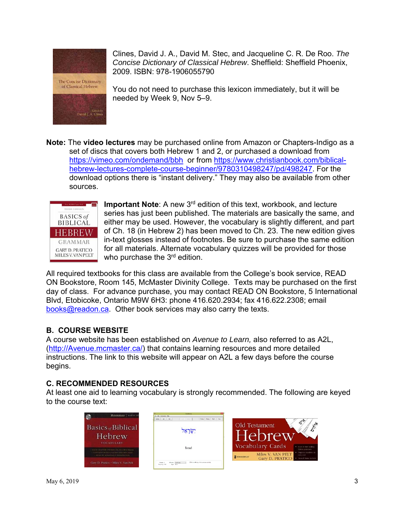

Clines, David J. A., David M. Stec, and Jacqueline C. R. De Roo. *The Concise Dictionary of Classical Hebrew*. Sheffield: Sheffield Phoenix, 2009. ISBN: 978-1906055790

You do not need to purchase this lexicon immediately, but it will be needed by Week 9, Nov 5–9.

**Note:** The **video lectures** may be purchased online from Amazon or Chapters-Indigo as a set of discs that covers both Hebrew 1 and 2, or purchased a download from https://vimeo.com/ondemand/bbh or from https://www.christianbook.com/biblicalhebrew-lectures-complete-course-beginner/9780310498247/pd/498247. For the download options there is "instant delivery." They may also be available from other sources.



**Important Note**: A new 3rd edition of this text, workbook, and lecture series has just been published. The materials are basically the same, and either may be used. However, the vocabulary is slightly different, and part of Ch. 18 (in Hebrew 2) has been moved to Ch. 23. The new edition gives in-text glosses instead of footnotes. Be sure to purchase the same edition for all materials. Alternate vocabulary quizzes will be provided for those who purchase the 3<sup>rd</sup> edition.

All required textbooks for this class are available from the College's book service, READ ON Bookstore, Room 145, McMaster Divinity College. Texts may be purchased on the first day of class. For advance purchase, you may contact READ ON Bookstore, 5 International Blvd, Etobicoke, Ontario M9W 6H3: phone 416.620.2934; fax 416.622.2308; email books@readon.ca. Other book services may also carry the texts.

# **B. COURSE WEBSITE**

A course website has been established on *Avenue to Learn,* also referred to as A2L, (http://Avenue.mcmaster.ca/) that contains learning resources and more detailed instructions. The link to this website will appear on A2L a few days before the course begins.

# **C. RECOMMENDED RESOURCES**

At least one aid to learning vocabulary is strongly recommended. The following are keyed to the course text:

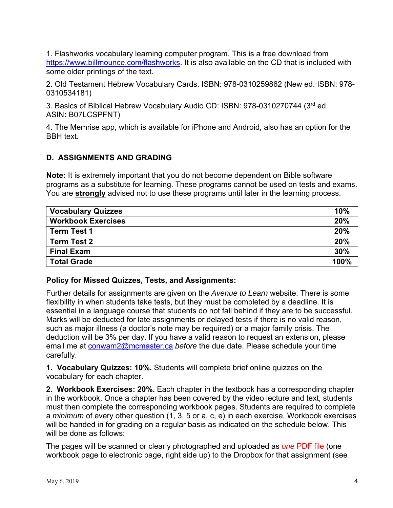1. Flashworks vocabulary learning computer program. This is a free download from https://www.billmounce.com/flashworks. It is also available on the CD that is included with some older printings of the text.

2. Old Testament Hebrew Vocabulary Cards. ISBN: 978-0310259862 (New ed. ISBN: 978- 0310534181)

3. Basics of Biblical Hebrew Vocabulary Audio CD: ISBN: 978-0310270744 (3rd ed. ASIN**:** B07LCSPFNT)

4. The Memrise app, which is available for iPhone and Android, also has an option for the BBH text.

# **D. ASSIGNMENTS AND GRADING**

**Note:** It is extremely important that you do not become dependent on Bible software programs as a substitute for learning. These programs cannot be used on tests and exams. You are **strongly** advised not to use these programs until later in the learning process.

| <b>Vocabulary Quizzes</b> | 10%  |
|---------------------------|------|
| <b>Workbook Exercises</b> | 20%  |
| <b>Term Test 1</b>        | 20%  |
| <b>Term Test 2</b>        | 20%  |
| <b>Final Exam</b>         | 30%  |
| <b>Total Grade</b>        | 100% |

#### **Policy for Missed Quizzes, Tests, and Assignments:**

Further details for assignments are given on the *Avenue to Learn* website. There is some flexibility in when students take tests, but they must be completed by a deadline. It is essential in a language course that students do not fall behind if they are to be successful. Marks will be deducted for late assignments or delayed tests if there is no valid reason, such as major illness (a doctor's note may be required) or a major family crisis. The deduction will be 3% per day. If you have a valid reason to request an extension, please email me at conwam2@mcmaster.ca *before* the due date. Please schedule your time carefully.

**1. Vocabulary Quizzes: 10%.** Students will complete brief online quizzes on the vocabulary for each chapter.

**2. Workbook Exercises: 20%.** Each chapter in the textbook has a corresponding chapter in the workbook. Once a chapter has been covered by the video lecture and text, students must then complete the corresponding workbook pages. Students are required to complete a *minimum* of every other question (1, 3, 5 or a, c, e) in each exercise. Workbook exercises will be handed in for grading on a regular basis as indicated on the schedule below. This will be done as follows:

The pages will be scanned or clearly photographed and uploaded as *one* PDF file (one workbook page to electronic page, right side up) to the Dropbox for that assignment (see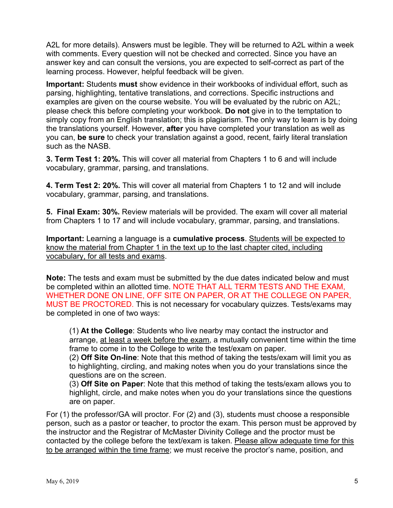A2L for more details). Answers must be legible. They will be returned to A2L within a week with comments. Every question will not be checked and corrected. Since you have an answer key and can consult the versions, you are expected to self-correct as part of the learning process. However, helpful feedback will be given.

**Important:** Students **must** show evidence in their workbooks of individual effort, such as parsing, highlighting, tentative translations, and corrections. Specific instructions and examples are given on the course website. You will be evaluated by the rubric on A2L; please check this before completing your workbook. **Do not** give in to the temptation to simply copy from an English translation; this is plagiarism. The only way to learn is by doing the translations yourself. However, **after** you have completed your translation as well as you can, **be sure** to check your translation against a good, recent, fairly literal translation such as the NASB.

**3. Term Test 1: 20%.** This will cover all material from Chapters 1 to 6 and will include vocabulary, grammar, parsing, and translations.

**4. Term Test 2: 20%.** This will cover all material from Chapters 1 to 12 and will include vocabulary, grammar, parsing, and translations.

**5. Final Exam: 30%.** Review materials will be provided. The exam will cover all material from Chapters 1 to 17 and will include vocabulary, grammar, parsing, and translations.

**Important:** Learning a language is a **cumulative process**. Students will be expected to know the material from Chapter 1 in the text up to the last chapter cited, including vocabulary, for all tests and exams.

**Note:** The tests and exam must be submitted by the due dates indicated below and must be completed within an allotted time. NOTE THAT ALL TERM TESTS AND THE EXAM, WHETHER DONE ON LINE, OFF SITE ON PAPER, OR AT THE COLLEGE ON PAPER, MUST BE PROCTORED. This is not necessary for vocabulary quizzes. Tests/exams may be completed in one of two ways:

(1) **At the College**: Students who live nearby may contact the instructor and arrange, at least a week before the exam, a mutually convenient time within the time frame to come in to the College to write the test/exam on paper.

(2) **Off Site On-line**: Note that this method of taking the tests/exam will limit you as to highlighting, circling, and making notes when you do your translations since the questions are on the screen.

(3) **Off Site on Paper**: Note that this method of taking the tests/exam allows you to highlight, circle, and make notes when you do your translations since the questions are on paper.

For (1) the professor/GA will proctor. For (2) and (3), students must choose a responsible person, such as a pastor or teacher, to proctor the exam. This person must be approved by the instructor and the Registrar of McMaster Divinity College and the proctor must be contacted by the college before the text/exam is taken. Please allow adequate time for this to be arranged within the time frame; we must receive the proctor's name, position, and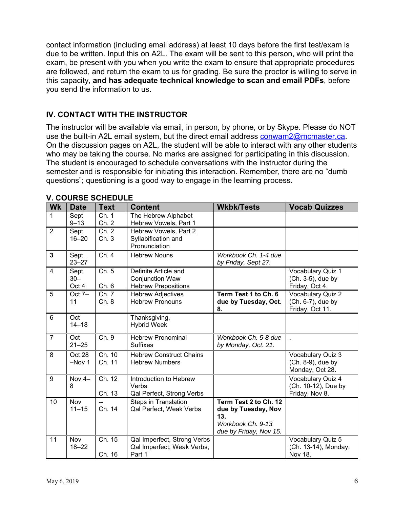contact information (including email address) at least 10 days before the first test/exam is due to be written. Input this on A2L. The exam will be sent to this person, who will print the exam, be present with you when you write the exam to ensure that appropriate procedures are followed, and return the exam to us for grading. Be sure the proctor is willing to serve in this capacity, **and has adequate technical knowledge to scan and email PDFs**, before you send the information to us.

# **IV. CONTACT WITH THE INSTRUCTOR**

The instructor will be available via email, in person, by phone, or by Skype. Please do NOT use the built-in A2L email system, but the direct email address conwam2@mcmaster.ca. On the discussion pages on A2L, the student will be able to interact with any other students who may be taking the course. No marks are assigned for participating in this discussion. The student is encouraged to schedule conversations with the instructor during the semester and is responsible for initiating this interaction. Remember, there are no "dumb questions"; questioning is a good way to engage in the learning process.

| <b>Wk</b>      | <b>Date</b>             | <b>Text</b>      | <b>Content</b>                                                               | <b>Wkbk/Tests</b>                                                                                  | <b>Vocab Quizzes</b>                                       |
|----------------|-------------------------|------------------|------------------------------------------------------------------------------|----------------------------------------------------------------------------------------------------|------------------------------------------------------------|
| 1              | Sept<br>$9 - 13$        | Ch. 1<br>Ch. 2   | The Hebrew Alphabet<br>Hebrew Vowels, Part 1                                 |                                                                                                    |                                                            |
| 2              | Sept<br>$16 - 20$       | Ch. 2<br>Ch.3    | Hebrew Vowels, Part 2<br>Syllabification and<br>Pronunciation                |                                                                                                    |                                                            |
| $\mathbf{3}$   | Sept<br>$23 - 27$       | Ch. 4            | <b>Hebrew Nouns</b>                                                          | Workbook Ch. 1-4 due<br>by Friday, Sept 27.                                                        |                                                            |
| 4              | Sept<br>$30 -$<br>Oct 4 | Ch. 5<br>Ch. 6   | Definite Article and<br><b>Conjunction Waw</b><br><b>Hebrew Prepositions</b> |                                                                                                    | Vocabulary Quiz 1<br>(Ch. 3-5), due by<br>Friday, Oct 4.   |
| 5              | Oct $7-$<br>11          | Ch. 7<br>Ch.8    | <b>Hebrew Adjectives</b><br><b>Hebrew Pronouns</b>                           | Term Test 1 to Ch. 6<br>due by Tuesday, Oct.<br>8.                                                 | Vocabulary Quiz 2<br>(Ch. 6-7), due by<br>Friday, Oct 11.  |
| 6              | Oct<br>$14 - 18$        |                  | Thanksgiving,<br><b>Hybrid Week</b>                                          |                                                                                                    |                                                            |
| $\overline{7}$ | Oct<br>$21 - 25$        | Ch. 9            | <b>Hebrew Pronominal</b><br><b>Suffixes</b>                                  | Workbook Ch. 5-8 due<br>by Monday, Oct. 21.                                                        |                                                            |
| 8              | Oct 28<br>$-Nov1$       | Ch. 10<br>Ch. 11 | <b>Hebrew Construct Chains</b><br><b>Hebrew Numbers</b>                      |                                                                                                    | Vocabulary Quiz 3<br>(Ch. 8-9), due by<br>Monday, Oct 28.  |
| 9              | Nov 4-<br>8             | Ch. 12<br>Ch. 13 | Introduction to Hebrew<br>Verbs<br>Qal Perfect, Strong Verbs                 |                                                                                                    | Vocabulary Quiz 4<br>(Ch. 10-12), Due by<br>Friday, Nov 8. |
| 10             | Nov<br>$11 - 15$        | $-$<br>Ch. 14    | <b>Steps in Translation</b><br>Qal Perfect, Weak Verbs                       | Term Test 2 to Ch. 12<br>due by Tuesday, Nov<br>13.<br>Workbook Ch. 9-13<br>due by Friday, Nov 15. |                                                            |
| 11             | Nov<br>$18 - 22$        | Ch. 15<br>Ch. 16 | Qal Imperfect, Strong Verbs<br>Qal Imperfect, Weak Verbs,<br>Part 1          |                                                                                                    | Vocabulary Quiz 5<br>(Ch. 13-14), Monday,<br>Nov 18.       |

### **V. COURSE SCHEDULE**